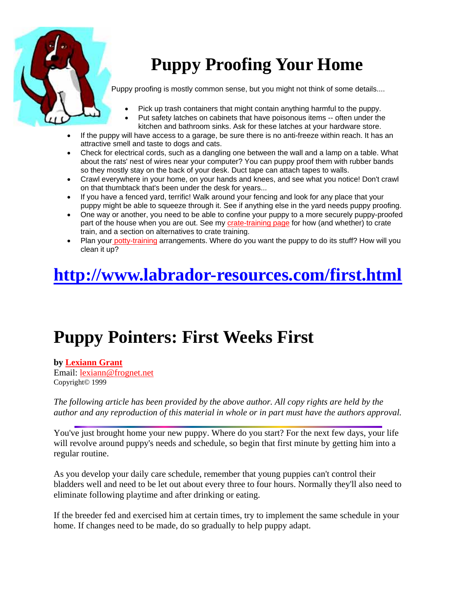

# **Puppy Proofing Your Home**

Puppy proofing is mostly common sense, but you might not think of some details....

- Pick up trash containers that might contain anything harmful to the puppy.
- Put safety latches on cabinets that have poisonous items -- often under the kitchen and bathroom sinks. Ask for these latches at your hardware store.
- If the puppy will have access to a garage, be sure there is no anti-freeze within reach. It has an attractive smell and taste to dogs and cats.
- Check for electrical cords, such as a dangling one between the wall and a lamp on a table. What about the rats' nest of wires near your computer? You can puppy proof them with rubber bands so they mostly stay on the back of your desk. Duct tape can attach tapes to walls.
- Crawl everywhere in your home, on your hands and knees, and see what you notice! Don't crawl on that thumbtack that's been under the desk for years...
- If you have a fenced yard, terrific! Walk around your fencing and look for any place that your puppy might be able to squeeze through it. See if anything else in the yard needs puppy proofing.
- One way or another, you need to be able to confine your puppy to a more securely puppy-proofed part of the house when you are out. See my [crate-training page](http://www.training-dogs.com/crate-training.html) for how (and whether) to crate train, and a section on alternatives to crate training.
- Plan you[r potty-training](http://www.training-dogs.com/potty-training-dogs.html) arrangements. Where do you want the puppy to do its stuff? How will you clean it up?

## **http://www.labrador-resources.com/first.html**

## **Puppy Pointers: First Weeks First**

**by [Lexiann Grant](http://www.cyberpet.com/cyberdog/articles/lexi/lexibio.htm)** Email: [lexiann@frognet.net](mailto:lexiann@frognet.net) Copyright© 1999

*The following article has been provided by the above author. All copy rights are held by the author and any reproduction of this material in whole or in part must have the authors approval.*

You've just brought home your new puppy. Where do you start? For the next few days, your life will revolve around puppy's needs and schedule, so begin that first minute by getting him into a regular routine.

As you develop your daily care schedule, remember that young puppies can't control their bladders well and need to be let out about every three to four hours. Normally they'll also need to eliminate following playtime and after drinking or eating.

If the breeder fed and exercised him at certain times, try to implement the same schedule in your home. If changes need to be made, do so gradually to help puppy adapt.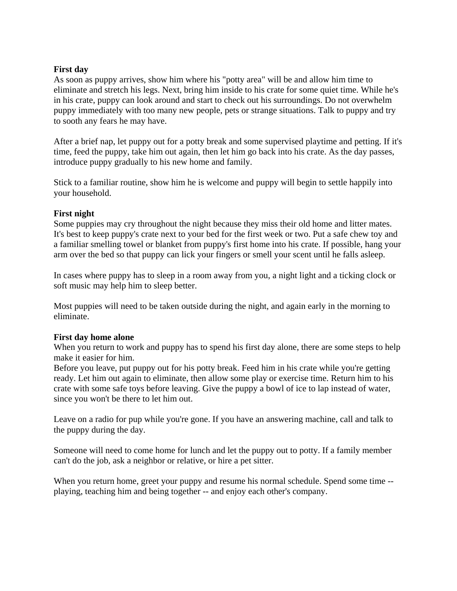### **First day**

As soon as puppy arrives, show him where his "potty area" will be and allow him time to eliminate and stretch his legs. Next, bring him inside to his crate for some quiet time. While he's in his crate, puppy can look around and start to check out his surroundings. Do not overwhelm puppy immediately with too many new people, pets or strange situations. Talk to puppy and try to sooth any fears he may have.

After a brief nap, let puppy out for a potty break and some supervised playtime and petting. If it's time, feed the puppy, take him out again, then let him go back into his crate. As the day passes, introduce puppy gradually to his new home and family.

Stick to a familiar routine, show him he is welcome and puppy will begin to settle happily into your household.

### **First night**

Some puppies may cry throughout the night because they miss their old home and litter mates. It's best to keep puppy's crate next to your bed for the first week or two. Put a safe chew toy and a familiar smelling towel or blanket from puppy's first home into his crate. If possible, hang your arm over the bed so that puppy can lick your fingers or smell your scent until he falls asleep.

In cases where puppy has to sleep in a room away from you, a night light and a ticking clock or soft music may help him to sleep better.

Most puppies will need to be taken outside during the night, and again early in the morning to eliminate.

#### **First day home alone**

When you return to work and puppy has to spend his first day alone, there are some steps to help make it easier for him.

Before you leave, put puppy out for his potty break. Feed him in his crate while you're getting ready. Let him out again to eliminate, then allow some play or exercise time. Return him to his crate with some safe toys before leaving. Give the puppy a bowl of ice to lap instead of water, since you won't be there to let him out.

Leave on a radio for pup while you're gone. If you have an answering machine, call and talk to the puppy during the day.

Someone will need to come home for lunch and let the puppy out to potty. If a family member can't do the job, ask a neighbor or relative, or hire a pet sitter.

When you return home, greet your puppy and resume his normal schedule. Spend some time -playing, teaching him and being together -- and enjoy each other's company.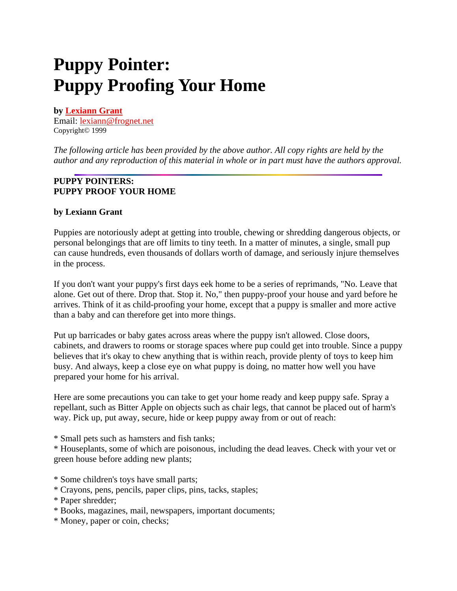### **Puppy Pointer: Puppy Proofing Your Home**

### **by [Lexiann Grant](http://www.cyberpet.com/cyberdog/articles/lexi/lexibio.htm)**

Email: [lexiann@frognet.net](mailto:lexiann@frognet.net) Copyright© 1999

*The following article has been provided by the above author. All copy rights are held by the author and any reproduction of this material in whole or in part must have the authors approval.*

### **PUPPY POINTERS: PUPPY PROOF YOUR HOME**

### **by Lexiann Grant**

Puppies are notoriously adept at getting into trouble, chewing or shredding dangerous objects, or personal belongings that are off limits to tiny teeth. In a matter of minutes, a single, small pup can cause hundreds, even thousands of dollars worth of damage, and seriously injure themselves in the process.

If you don't want your puppy's first days eek home to be a series of reprimands, "No. Leave that alone. Get out of there. Drop that. Stop it. No," then puppy-proof your house and yard before he arrives. Think of it as child-proofing your home, except that a puppy is smaller and more active than a baby and can therefore get into more things.

Put up barricades or baby gates across areas where the puppy isn't allowed. Close doors, cabinets, and drawers to rooms or storage spaces where pup could get into trouble. Since a puppy believes that it's okay to chew anything that is within reach, provide plenty of toys to keep him busy. And always, keep a close eye on what puppy is doing, no matter how well you have prepared your home for his arrival.

Here are some precautions you can take to get your home ready and keep puppy safe. Spray a repellant, such as Bitter Apple on objects such as chair legs, that cannot be placed out of harm's way. Pick up, put away, secure, hide or keep puppy away from or out of reach:

\* Small pets such as hamsters and fish tanks;

\* Houseplants, some of which are poisonous, including the dead leaves. Check with your vet or green house before adding new plants;

\* Some children's toys have small parts;

\* Crayons, pens, pencils, paper clips, pins, tacks, staples;

- \* Books, magazines, mail, newspapers, important documents;
- \* Money, paper or coin, checks;

<sup>\*</sup> Paper shredder;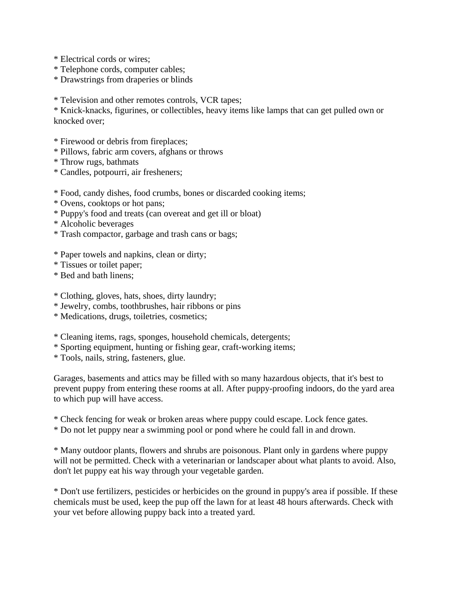\* Electrical cords or wires;

- \* Telephone cords, computer cables;
- \* Drawstrings from draperies or blinds

\* Television and other remotes controls, VCR tapes;

\* Knick-knacks, figurines, or collectibles, heavy items like lamps that can get pulled own or knocked over;

- \* Firewood or debris from fireplaces;
- \* Pillows, fabric arm covers, afghans or throws
- \* Throw rugs, bathmats
- \* Candles, potpourri, air fresheners;
- \* Food, candy dishes, food crumbs, bones or discarded cooking items;
- \* Ovens, cooktops or hot pans;
- \* Puppy's food and treats (can overeat and get ill or bloat)
- \* Alcoholic beverages
- \* Trash compactor, garbage and trash cans or bags;
- \* Paper towels and napkins, clean or dirty;
- \* Tissues or toilet paper;
- \* Bed and bath linens;

#### \* Clothing, gloves, hats, shoes, dirty laundry;

- \* Jewelry, combs, toothbrushes, hair ribbons or pins
- \* Medications, drugs, toiletries, cosmetics;
- \* Cleaning items, rags, sponges, household chemicals, detergents;
- \* Sporting equipment, hunting or fishing gear, craft-working items;

\* Tools, nails, string, fasteners, glue.

Garages, basements and attics may be filled with so many hazardous objects, that it's best to prevent puppy from entering these rooms at all. After puppy-proofing indoors, do the yard area to which pup will have access.

- \* Check fencing for weak or broken areas where puppy could escape. Lock fence gates.
- \* Do not let puppy near a swimming pool or pond where he could fall in and drown.

\* Many outdoor plants, flowers and shrubs are poisonous. Plant only in gardens where puppy will not be permitted. Check with a veterinarian or landscaper about what plants to avoid. Also, don't let puppy eat his way through your vegetable garden.

\* Don't use fertilizers, pesticides or herbicides on the ground in puppy's area if possible. If these chemicals must be used, keep the pup off the lawn for at least 48 hours afterwards. Check with your vet before allowing puppy back into a treated yard.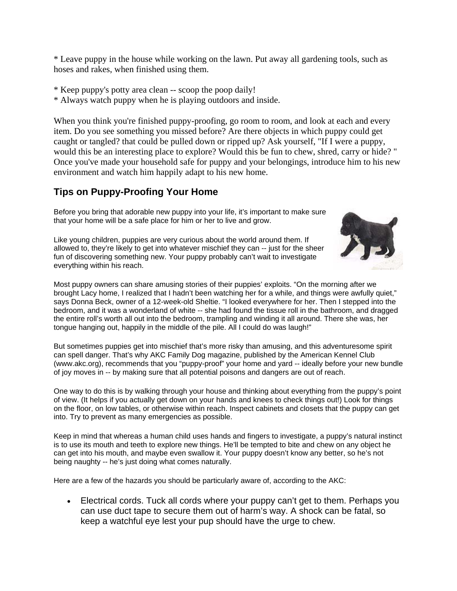\* Leave puppy in the house while working on the lawn. Put away all gardening tools, such as hoses and rakes, when finished using them.

\* Keep puppy's potty area clean -- scoop the poop daily!

\* Always watch puppy when he is playing outdoors and inside.

When you think you're finished puppy-proofing, go room to room, and look at each and every item. Do you see something you missed before? Are there objects in which puppy could get caught or tangled? that could be pulled down or ripped up? Ask yourself, "If I were a puppy, would this be an interesting place to explore? Would this be fun to chew, shred, carry or hide? " Once you've made your household safe for puppy and your belongings, introduce him to his new environment and watch him happily adapt to his new home.

### **Tips on Puppy-Proofing Your Home**

Before you bring that adorable new puppy into your life, it's important to make sure that your home will be a safe place for him or her to live and grow.

Like young children, puppies are very curious about the world around them. If allowed to, they're likely to get into whatever mischief they can -- just for the sheer fun of discovering something new. Your puppy probably can't wait to investigate everything within his reach.



Most puppy owners can share amusing stories of their puppies' exploits. "On the morning after we brought Lacy home, I realized that I hadn't been watching her for a while, and things were awfully quiet," says Donna Beck, owner of a 12-week-old Sheltie. "I looked everywhere for her. Then I stepped into the bedroom, and it was a wonderland of white -- she had found the tissue roll in the bathroom, and dragged the entire roll's worth all out into the bedroom, trampling and winding it all around. There she was, her tongue hanging out, happily in the middle of the pile. All I could do was laugh!"

But sometimes puppies get into mischief that's more risky than amusing, and this adventuresome spirit can spell danger. That's why AKC Family Dog magazine, published by the American Kennel Club (www.akc.org), recommends that you "puppy-proof" your home and yard -- ideally before your new bundle of joy moves in -- by making sure that all potential poisons and dangers are out of reach.

One way to do this is by walking through your house and thinking about everything from the puppy's point of view. (It helps if you actually get down on your hands and knees to check things out!) Look for things on the floor, on low tables, or otherwise within reach. Inspect cabinets and closets that the puppy can get into. Try to prevent as many emergencies as possible.

Keep in mind that whereas a human child uses hands and fingers to investigate, a puppy's natural instinct is to use its mouth and teeth to explore new things. He'll be tempted to bite and chew on any object he can get into his mouth, and maybe even swallow it. Your puppy doesn't know any better, so he's not being naughty -- he's just doing what comes naturally.

Here are a few of the hazards you should be particularly aware of, according to the AKC:

• Electrical cords. Tuck all cords where your puppy can't get to them. Perhaps you can use duct tape to secure them out of harm's way. A shock can be fatal, so keep a watchful eye lest your pup should have the urge to chew.